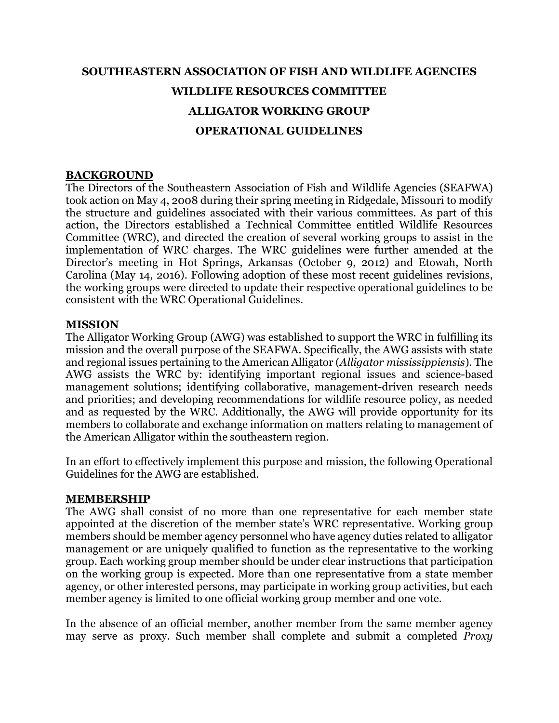## **SOUTHEASTERN ASSOCIATION OF FISH AND WILDLIFE AGENCIES WILDLIFE RESOURCES COMMITTEE ALLIGATOR WORKING GROUP OPERATIONAL GUIDELINES**

#### **BACKGROUND**

The Directors of the Southeastern Association of Fish and Wildlife Agencies (SEAFWA) took action on May 4, 2008 during their spring meeting in Ridgedale, Missouri to modify the structure and guidelines associated with their various committees. As part of this action, the Directors established a Technical Committee entitled Wildlife Resources Committee (WRC), and directed the creation of several working groups to assist in the implementation of WRC charges. The WRC guidelines were further amended at the Director's meeting in Hot Springs, Arkansas (October 9, 2012) and Etowah, North Carolina (May 14, 2016). Following adoption of these most recent guidelines revisions, the working groups were directed to update their respective operational guidelines to be consistent with the WRC Operational Guidelines.

#### **MISSION**

The Alligator Working Group (AWG) was established to support the WRC in fulfilling its mission and the overall purpose of the SEAFWA. Specifically, the AWG assists with state and regional issues pertaining to the American Alligator (*Alligator mississippiensis*). The AWG assists the WRC by: identifying important regional issues and science-based management solutions; identifying collaborative, management-driven research needs and priorities; and developing recommendations for wildlife resource policy, as needed and as requested by the WRC. Additionally, the AWG will provide opportunity for its members to collaborate and exchange information on matters relating to management of the American Alligator within the southeastern region.

In an effort to effectively implement this purpose and mission, the following Operational Guidelines for the AWG are established.

#### **MEMBERSHIP**

The AWG shall consist of no more than one representative for each member state appointed at the discretion of the member state's WRC representative. Working group members should be member agency personnel who have agency duties related to alligator management or are uniquely qualified to function as the representative to the working group. Each working group member should be under clear instructions that participation on the working group is expected. More than one representative from a state member agency, or other interested persons, may participate in working group activities, but each member agency is limited to one official working group member and one vote.

In the absence of an official member, another member from the same member agency may serve as proxy. Such member shall complete and submit a completed *Proxy*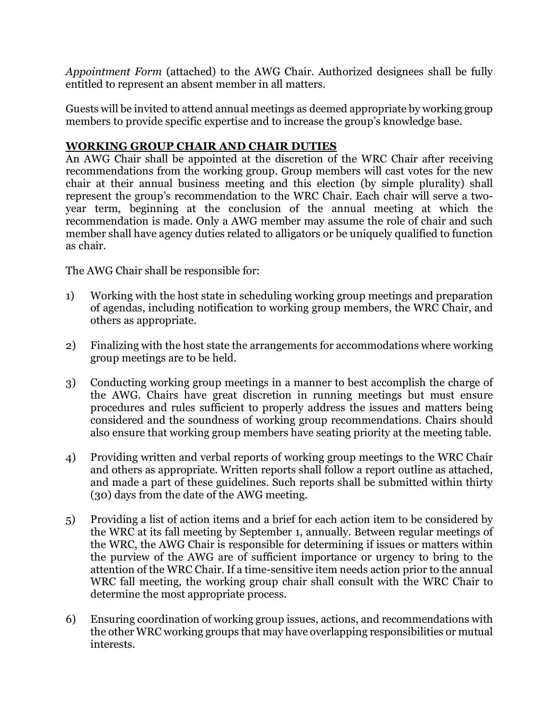*Appointment Form* (attached) to the AWG Chair. Authorized designees shall be fully entitled to represent an absent member in all matters.

Guests will be invited to attend annual meetings as deemed appropriate by working group members to provide specific expertise and to increase the group's knowledge base.

### **WORKING GROUP CHAIR AND CHAIR DUTIES**

An AWG Chair shall be appointed at the discretion of the WRC Chair after receiving recommendations from the working group. Group members will cast votes for the new chair at their annual business meeting and this election (by simple plurality) shall represent the group's recommendation to the WRC Chair. Each chair will serve a twoyear term, beginning at the conclusion of the annual meeting at which the recommendation is made. Only a AWG member may assume the role of chair and such member shall have agency duties related to alligators or be uniquely qualified to function as chair.

The AWG Chair shall be responsible for:

- 1) Working with the host state in scheduling working group meetings and preparation of agendas, including notification to working group members, the WRC Chair, and others as appropriate.
- 2) Finalizing with the host state the arrangements for accommodations where working group meetings are to be held.
- 3) Conducting working group meetings in a manner to best accomplish the charge of the AWG. Chairs have great discretion in running meetings but must ensure procedures and rules sufficient to properly address the issues and matters being considered and the soundness of working group recommendations. Chairs should also ensure that working group members have seating priority at the meeting table.
- 4) Providing written and verbal reports of working group meetings to the WRC Chair and others as appropriate. Written reports shall follow a report outline as attached, and made a part of these guidelines. Such reports shall be submitted within thirty (30) days from the date of the AWG meeting.
- 5) Providing a list of action items and a brief for each action item to be considered by the WRC at its fall meeting by September 1, annually. Between regular meetings of the WRC, the AWG Chair is responsible for determining if issues or matters within the purview of the AWG are of sufficient importance or urgency to bring to the attention of the WRC Chair. If a time-sensitive item needs action prior to the annual WRC fall meeting, the working group chair shall consult with the WRC Chair to determine the most appropriate process.
- 6) Ensuring coordination of working group issues, actions, and recommendations with the other WRC working groups that may have overlapping responsibilities or mutual interests.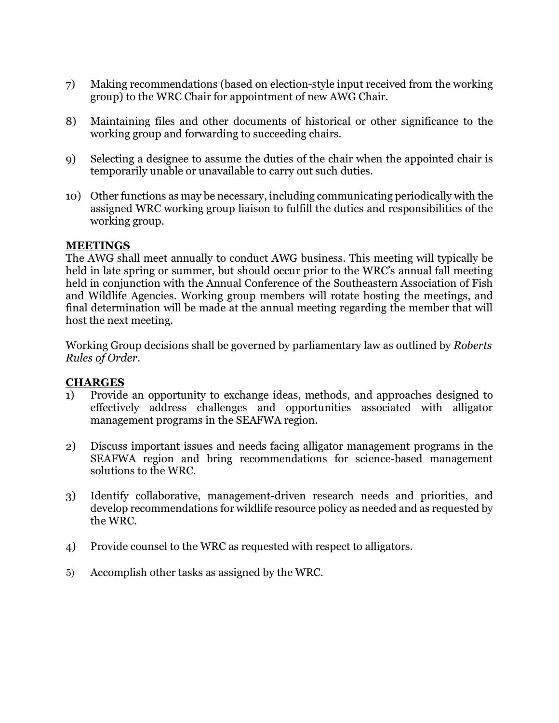- 7) Making recommendations (based on election-style input received from the working group) to the WRC Chair for appointment of new AWG Chair.
- 8) Maintaining files and other documents of historical or other significance to the working group and forwarding to succeeding chairs.
- 9) Selecting a designee to assume the duties of the chair when the appointed chair is temporarily unable or unavailable to carry out such duties.
- 10) Other functions as may be necessary, including communicating periodically with the assigned WRC working group liaison to fulfill the duties and responsibilities of the working group.

#### **MEETINGS**

The AWG shall meet annually to conduct AWG business. This meeting will typically be held in late spring or summer, but should occur prior to the WRC's annual fall meeting held in conjunction with the Annual Conference of the Southeastern Association of Fish and Wildlife Agencies. Working group members will rotate hosting the meetings, and final determination will be made at the annual meeting regarding the member that will host the next meeting.

Working Group decisions shall be governed by parliamentary law as outlined by *Roberts Rules of Order*.

#### **CHARGES**

- 1) Provide an opportunity to exchange ideas, methods, and approaches designed to effectively address challenges and opportunities associated with alligator management programs in the SEAFWA region.
- 2) Discuss important issues and needs facing alligator management programs in the SEAFWA region and bring recommendations for science-based management solutions to the WRC.
- 3) Identify collaborative, management-driven research needs and priorities, and develop recommendations for wildlife resource policy as needed and as requested by the WRC.
- 4) Provide counsel to the WRC as requested with respect to alligators.
- 5) Accomplish other tasks as assigned by the WRC.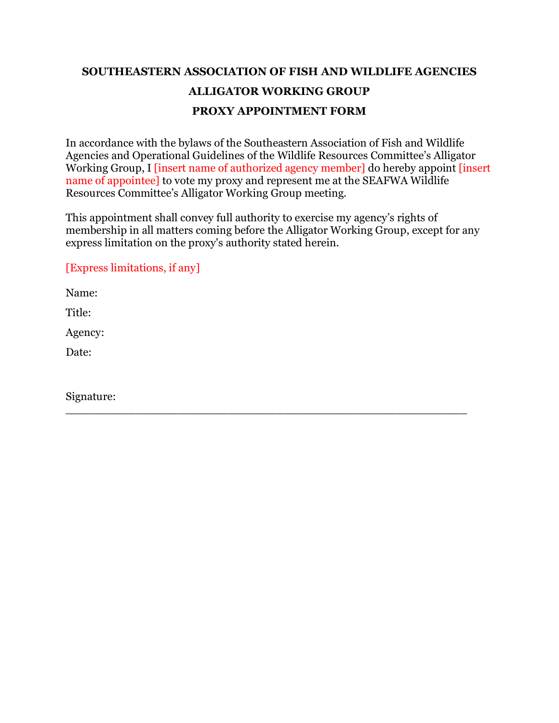## **SOUTHEASTERN ASSOCIATION OF FISH AND WILDLIFE AGENCIES ALLIGATOR WORKING GROUP PROXY APPOINTMENT FORM**

In accordance with the bylaws of the Southeastern Association of Fish and Wildlife Agencies and Operational Guidelines of the Wildlife Resources Committee's Alligator Working Group, I linsert name of authorized agency member] do hereby appoint linsert name of appointee] to vote my proxy and represent me at the SEAFWA Wildlife Resources Committee's Alligator Working Group meeting.

This appointment shall convey full authority to exercise my agency's rights of membership in all matters coming before the Alligator Working Group, except for any express limitation on the proxy's authority stated herein.

\_\_\_\_\_\_\_\_\_\_\_\_\_\_\_\_\_\_\_\_\_\_\_\_\_\_\_\_\_\_\_\_\_\_\_\_\_\_\_\_\_\_\_\_\_\_\_\_\_\_\_\_\_\_\_\_\_

[Express limitations, if any]

Name:

Title:

Agency:

Date:

Signature: